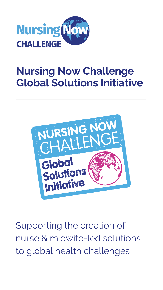

# **Nursing Now Challenge Global Solutions Initiative**



Supporting the creation of nurse & midwife-led solutions to global health challenges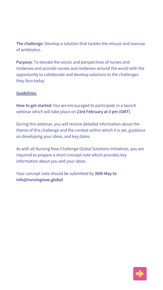**The challenge:** Develop a solution that tackles the misuse and overuse of antibiotics.

**Purpose**: To elevate the voices and perspectives of nurses and midwives and provide nurses and midwives around the world with the opportunity to collaborate and develop solutions to the challenges they face today.

# **Guidelines**

**How to get started:** You are encouraged to participate in a launch webinar which will take place on **23rd February at 3 pm (GMT)**.

During this webinar, you will receive detailed information about the theme of this challenge and the context within which it is set, guidance on developing your ideas, and key dates.

As with all Nursing Now Challenge Global Solutions Initiatives, you are required to prepare a short concept note which provides key information about you and your ideas.

Your concept note should be submitted by **30th May to info@nursingnow.global**

 $\begin{picture}(20,20) \put(0,0){\line(1,0){10}} \put(15,0){\line(1,0){10}} \put(15,0){\line(1,0){10}} \put(15,0){\line(1,0){10}} \put(15,0){\line(1,0){10}} \put(15,0){\line(1,0){10}} \put(15,0){\line(1,0){10}} \put(15,0){\line(1,0){10}} \put(15,0){\line(1,0){10}} \put(15,0){\line(1,0){10}} \put(15,0){\line(1,0){10}} \put(15,0){\line(1$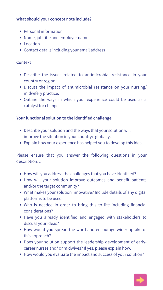- Personal information
- Name, job title and employer name
- Location
- Contact details including your email address

- Describe the issues related to antimicrobial resistance in your country or region.
- Discuss the impact of antimicrobial resistance on your nursing/ midwifery practice.
- Outline the ways in which your experience could be used as a catalyst for change.

- Describe your solution and the ways that your solution will improve the situation in your country/ globally.
- Explain how your experience has helped you to develop this idea.

- How will you address the challenges that you have identified?
- How will your solution improve outcomes and benefit patients and/or the target community?
- What makes your solution innovative? Include details of any digital platforms to be used
- Who is needed in order to bring this to life including financial considerations?
- Have you already identified and engaged with stakeholders to discuss your ideas?
- How would you spread the word and encourage wider uptake of this approach?
- Does your solution support the leadership development of earlycareer nurses and/ or midwives? If yes, please explain how.
- How would you evaluate the impact and success of your solution?



# **What should your concept note include?**

### **Context**

# **Your functional solution to the identified challenge**

Please ensure that you answer the following questions in your description…